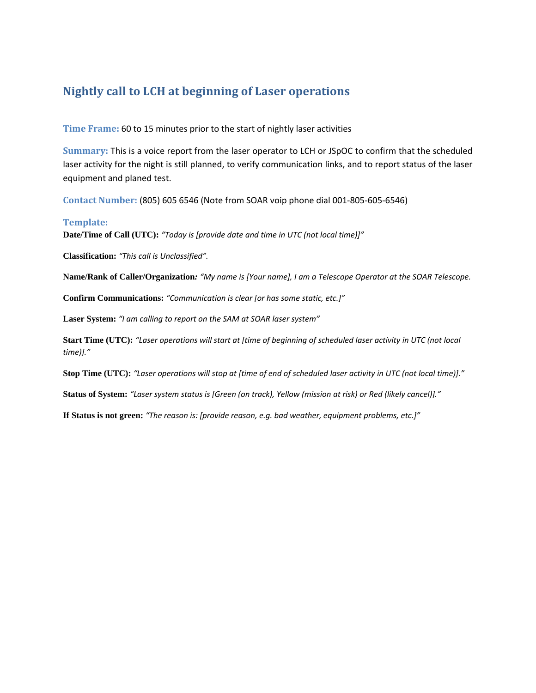### **Nightly call to LCH at beginning of Laser operations**

**Time Frame:** 60 to 15 minutes prior to the start of nightly laser activities

**Summary:** This is a voice report from the laser operator to LCH or JSpOC to confirm that the scheduled laser activity for the night is still planned, to verify communication links, and to report status of the laser equipment and planed test.

**Contact Number:** (805) 605 6546 (Note from SOAR voip phone dial 001‐805‐605‐6546)

#### **Template:**

**Date/Time of Call (UTC):** *"Today is [provide date and time in UTC (not local time)]"*

**Classification:** *"This call is Unclassified".*

**Name/Rank of Caller/Organization***: "My name is [Your name], I am a Telescope Operator at the SOAR Telescope.*

**Confirm Communications:** *"Communication is clear [or has some static, etc.]"*

**Laser System:** *"I am calling to report on the SAM at SOAR laser system"*

Start Time (UTC): "Laser operations will start at [time of beginning of scheduled laser activity in UTC (not local *time)]."*

Stop Time (UTC): "Laser operations will stop at [time of end of scheduled laser activity in UTC (not local time)]."

**Status of System:** *"Laser system status is [Green (on track), Yellow (mission at risk) or Red (likely cancel)]."*

**If Status is not green:** *"The reason is: [provide reason, e.g. bad weather, equipment problems, etc.]"*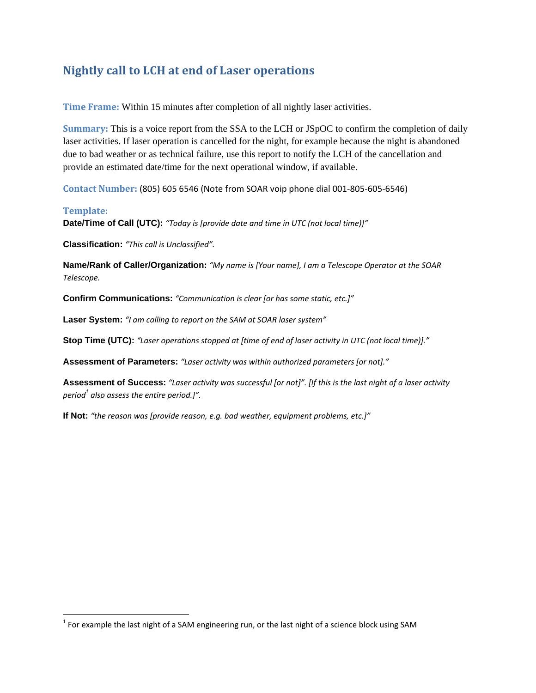## **Nightly call to LCH at end of Laser operations**

**Time Frame:** Within 15 minutes after completion of all nightly laser activities.

**Summary:** This is a voice report from the SSA to the LCH or JSpOC to confirm the completion of daily laser activities. If laser operation is cancelled for the night, for example because the night is abandoned due to bad weather or as technical failure, use this report to notify the LCH of the cancellation and provide an estimated date/time for the next operational window, if available.

**Contact Number:** (805) 605 6546 (Note from SOAR voip phone dial 001‐805‐605‐6546)

#### **Template:**

**Date/Time of Call (UTC):** *"Today is [provide date and time in UTC (not local time)]"*

**Classification:** *"This call is Unclassified".*

**Name/Rank of Caller/Organization:** *"My name is [Your name], I am a Telescope Operator at the SOAR Telescope.*

**Confirm Communications:** *"Communication is clear [or has some static, etc.]"*

**Laser System:** *"I am calling to report on the SAM at SOAR laser system"*

**Stop Time (UTC):** *"Laser operations stopped at [time of end of laser activity in UTC (not local time)]."*

**Assessment of Parameters:** *"Laser activity was within authorized parameters [or not]."*

Assessment of Success: "Laser activity was successful [or not]". [If this is the last night of a laser activity *period1 also assess the entire period.]".*

**If Not:** *"the reason was [provide reason, e.g. bad weather, equipment problems, etc.]"*

 $<sup>1</sup>$  For example the last night of a SAM engineering run, or the last night of a science block using SAM</sup>